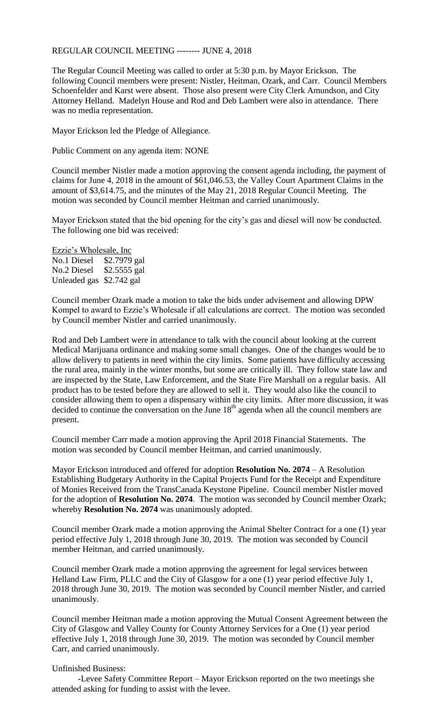## REGULAR COUNCIL MEETING -------- JUNE 4, 2018

The Regular Council Meeting was called to order at 5:30 p.m. by Mayor Erickson. The following Council members were present: Nistler, Heitman, Ozark, and Carr. Council Members Schoenfelder and Karst were absent. Those also present were City Clerk Amundson, and City Attorney Helland. Madelyn House and Rod and Deb Lambert were also in attendance. There was no media representation.

Mayor Erickson led the Pledge of Allegiance.

Public Comment on any agenda item: NONE

Council member Nistler made a motion approving the consent agenda including, the payment of claims for June 4, 2018 in the amount of \$61,046.53, the Valley Court Apartment Claims in the amount of \$3,614.75, and the minutes of the May 21, 2018 Regular Council Meeting. The motion was seconded by Council member Heitman and carried unanimously.

Mayor Erickson stated that the bid opening for the city's gas and diesel will now be conducted. The following one bid was received:

Ezzie's Wholesale, Inc No.1 Diesel \$2.7979 gal No.2 Diesel \$2.5555 gal Unleaded gas \$2.742 gal

Council member Ozark made a motion to take the bids under advisement and allowing DPW Kompel to award to Ezzie's Wholesale if all calculations are correct. The motion was seconded by Council member Nistler and carried unanimously.

Rod and Deb Lambert were in attendance to talk with the council about looking at the current Medical Marijuana ordinance and making some small changes. One of the changes would be to allow delivery to patients in need within the city limits. Some patients have difficulty accessing the rural area, mainly in the winter months, but some are critically ill. They follow state law and are inspected by the State, Law Enforcement, and the State Fire Marshall on a regular basis. All product has to be tested before they are allowed to sell it. They would also like the council to consider allowing them to open a dispensary within the city limits. After more discussion, it was decided to continue the conversation on the June  $18<sup>th</sup>$  agenda when all the council members are present.

Council member Carr made a motion approving the April 2018 Financial Statements. The motion was seconded by Council member Heitman, and carried unanimously.

Mayor Erickson introduced and offered for adoption **Resolution No. 2074** – A Resolution Establishing Budgetary Authority in the Capital Projects Fund for the Receipt and Expenditure of Monies Received from the TransCanada Keystone Pipeline. Council member Nistler moved for the adoption of **Resolution No. 2074**. The motion was seconded by Council member Ozark; whereby **Resolution No. 2074** was unanimously adopted.

Council member Ozark made a motion approving the Animal Shelter Contract for a one (1) year period effective July 1, 2018 through June 30, 2019. The motion was seconded by Council member Heitman, and carried unanimously.

Council member Ozark made a motion approving the agreement for legal services between Helland Law Firm, PLLC and the City of Glasgow for a one (1) year period effective July 1, 2018 through June 30, 2019. The motion was seconded by Council member Nistler, and carried unanimously.

Council member Heitman made a motion approving the Mutual Consent Agreement between the City of Glasgow and Valley County for County Attorney Services for a One (1) year period effective July 1, 2018 through June 30, 2019. The motion was seconded by Council member Carr, and carried unanimously.

## Unfinished Business:

-Levee Safety Committee Report – Mayor Erickson reported on the two meetings she attended asking for funding to assist with the levee.